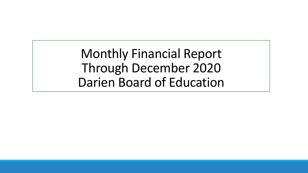Monthly Financial Report Through December 2020 Darien Board of Education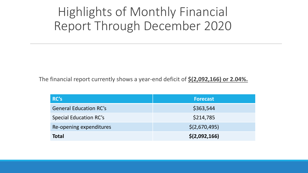## Highlights of Monthly Financial Report Through December 2020

The financial report currently shows a year-end deficit of **\$(2,092,166) or 2.04%.**

| RC's                          | <b>Forecast</b> |
|-------------------------------|-----------------|
| <b>General Education RC's</b> | \$363,544       |
| <b>Special Education RC's</b> | \$214,785       |
| Re-opening expenditures       | \$(2,670,495)   |
| <b>Total</b>                  | \$(2,092,166)   |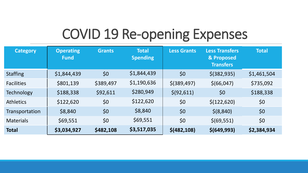# COVID 19 Re-opening Expenses

| <b>Category</b>   | <b>Operating</b><br><b>Fund</b> | <b>Grants</b> | <b>Total</b><br><b>Spending</b> | <b>Less Grants</b> | <b>Less Transfers</b><br>& Proposed<br><b>Transfers</b> | <b>Total</b> |
|-------------------|---------------------------------|---------------|---------------------------------|--------------------|---------------------------------------------------------|--------------|
| <b>Staffing</b>   | \$1,844,439                     | \$0           | \$1,844,439                     | \$0                | $$$ (382,935)                                           | \$1,461,504  |
| <b>Facilities</b> | \$801,139                       | \$389,497     | \$1,190,636                     | $$$ (389,497)      | \$(66, 047)                                             | \$735,092    |
| <b>Technology</b> | \$188,338                       | \$92,611      | \$280,949                       | \$ (92, 611)       | \$0                                                     | \$188,338    |
| <b>Athletics</b>  | \$122,620                       | \$0           | \$122,620                       | \$0                | \$(122, 620)                                            | \$0          |
| Transportation    | \$8,840                         | \$0           | \$8,840                         | \$0                | \$ (8, 840)                                             | \$0          |
| <b>Materials</b>  | \$69,551                        | \$0           | \$69,551                        | \$0                | \$ (69, 551)                                            | \$0          |
| <b>Total</b>      | \$3,034,927                     | \$482,108     | \$3,517,035                     | \$ (482, 108)      | \$(649,993)                                             | \$2,384,934  |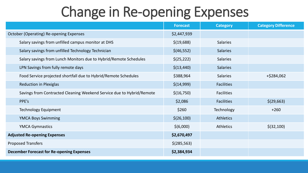# Change in Re-opening Expenses

|                                                                       | <b>Forecast</b> | <b>Category</b>   | <b>Category Difference</b> |
|-----------------------------------------------------------------------|-----------------|-------------------|----------------------------|
| <b>October (Operating) Re-opening Expenses</b>                        | \$2,447,939     |                   |                            |
| Salary savings from unfilled campus monitor at DHS                    | \$(19,688)      | <b>Salaries</b>   |                            |
| Salary savings from unfilled Technology Technician                    | \$(46,552)      | <b>Salaries</b>   |                            |
| Salary savings from Lunch Monitors due to Hybrid/Remote Schedules     | \$(25, 222)     | <b>Salaries</b>   |                            |
| LPN Savings from fully remote days                                    | \$(13, 440)     | <b>Salaries</b>   |                            |
| Food Service projected shortfall due to Hybrid/Remote Schedules       | \$388,964       | <b>Salaries</b>   | +\$284,062                 |
| <b>Reduction in Plexiglas</b>                                         | \$(14,999)      | <b>Facilities</b> |                            |
| Savings from Contracted Cleaning Weekend Service due to Hybrid/Remote | \$(16,750)      | <b>Facilities</b> |                            |
| PPE's                                                                 | \$2,086         | <b>Facilities</b> | \$(29,663)                 |
| <b>Technology Equipment</b>                                           | \$260           | Technology        | $+260$                     |
| <b>YMCA Boys Swimming</b>                                             | \$(26, 100)     | <b>Athletics</b>  |                            |
| <b>YMCA Gymnastics</b>                                                | \$(6,000)       | <b>Athletics</b>  | \$ (32, 100)               |
| <b>Adjusted Re-opening Expenses</b>                                   | \$2,670,497     |                   |                            |
| <b>Proposed Transfers</b>                                             | \$(285, 563)    |                   |                            |
| <b>December Forecast for Re-opening Expenses</b>                      | \$2,384,934     |                   |                            |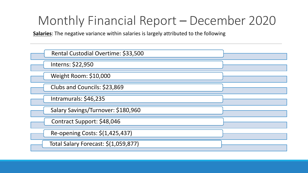**Salaries**: The negative variance within salaries is largely attributed to the following

| Rental Custodial Overtime: \$33,500  |  |
|--------------------------------------|--|
| Interns: \$22,950                    |  |
| Weight Room: \$10,000                |  |
| Clubs and Councils: \$23,869         |  |
| Intramurals: \$46,235                |  |
| Salary Savings/Turnover: \$180,960   |  |
| Contract Support: \$48,046           |  |
| Re-opening Costs: \$(1,425,437)      |  |
| Total Salary Forecast: \$(1,059,877) |  |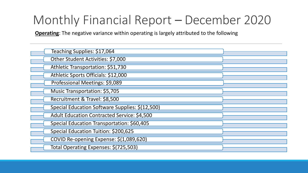**Operating**: The negative variance within operating is largely attributed to the following

| Teaching Supplies: \$17,064                        |  |
|----------------------------------------------------|--|
| Other Student Activities: \$7,000                  |  |
| Athletic Transportation: \$51,730                  |  |
| Athletic Sports Officials: \$12,000                |  |
| Professional Meetings: \$9,089                     |  |
| <b>Music Transportation: \$5,705</b>               |  |
| Recruitment & Travel: \$8,500                      |  |
| Special Education Software Supplies: \$(12,500)    |  |
| <b>Adult Education Contracted Service: \$4,500</b> |  |
| Special Education Transportation: \$60,405         |  |
| Special Education Tuition: \$200,625               |  |
| COVID Re-opening Expense: \$(1,089,620)            |  |
| Total Operating Expenses: \$(725,503)              |  |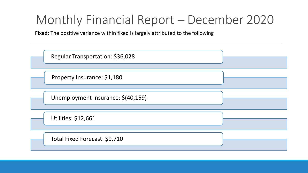**Fixed**: The positive variance within fixed is largely attributed to the following

| Regular Transportation: \$36,028   |  |
|------------------------------------|--|
| Property Insurance: \$1,180        |  |
| Unemployment Insurance: \$(40,159) |  |
| <b>Utilities: \$12,661</b>         |  |
| Total Fixed Forecast: \$9,710      |  |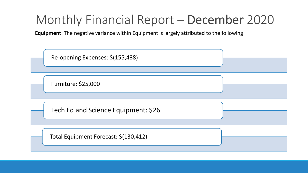**Equipment**: The negative variance within Equipment is largely attributed to the following

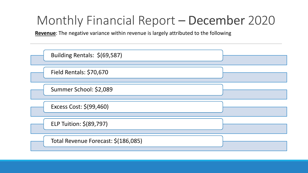**Revenue**: The negative variance within revenue is largely attributed to the following

| Building Rentals: \$(69,587)        |  |
|-------------------------------------|--|
| Field Rentals: \$70,670             |  |
| Summer School: \$2,089              |  |
| Excess Cost: \$(99,460)             |  |
| ELP Tuition: \$(89,797)             |  |
| Total Revenue Forecast: \$(186,085) |  |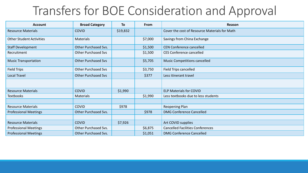| <b>Account</b>                  | <b>Broad Category</b>      | To       | From    | Reason                                        |
|---------------------------------|----------------------------|----------|---------|-----------------------------------------------|
| <b>Resource Materials</b>       | <b>COVID</b>               | \$19,832 |         | Cover the cost of Resource Materials for Math |
| <b>Other Student Activities</b> | <b>Materials</b>           |          | \$7,000 | Savings from China Exchange                   |
| <b>Staff Development</b>        | Other Purchased Svs.       |          | \$1,500 | <b>CEN Conference cancelled</b>               |
| Recruitment                     | <b>Other Purchased Svs</b> |          | \$1,500 | <b>CES Conference cancelled</b>               |
| <b>Music Transportation</b>     | <b>Other Purchased Svs</b> |          | \$5,705 | <b>Music Competitions cancelled</b>           |
| <b>Field Trips</b>              | <b>Other Purchased Svs</b> |          | \$3,750 | Field Trips cancelled                         |
| <b>Local Travel</b>             | <b>Other Purchased Svs</b> |          | \$377   | Less itinerant travel                         |
|                                 |                            |          |         |                                               |
| <b>Resource Materials</b>       | <b>COVID</b>               | \$1,990  |         | <b>ELP Materials for COVID</b>                |
| <b>Textbooks</b>                | Materials                  |          | \$1,990 | Less textbooks due to less students           |
|                                 |                            |          |         |                                               |
| <b>Resource Materials</b>       | <b>COVID</b>               | \$978    |         | Reopening Plan                                |
| <b>Professional Meetings</b>    | Other Purchased Svs.       |          | \$978   | <b>DMG Conference Cancelled</b>               |
|                                 |                            |          |         |                                               |
| <b>Resource Materials</b>       | <b>COVID</b>               | \$7,926  |         | Art COVID supplies                            |
| <b>Professional Meetings</b>    | Other Purchased Svs.       |          | \$6,875 | <b>Cancelled Facilities Conferences</b>       |
| <b>Professional Meetings</b>    | Other Purchased Svs.       |          | \$1,051 | <b>DMG Conference Cancelled</b>               |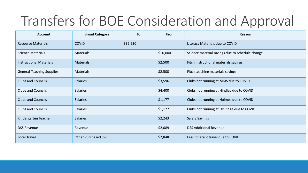| <b>Account</b>                   | <b>Broad Category</b>       | <b>To</b> | <b>From</b> | Reason                                          |
|----------------------------------|-----------------------------|-----------|-------------|-------------------------------------------------|
| <b>Resource Materials</b>        | <b>COVID</b>                | \$32,530  |             | Literacy Materials due to COVID                 |
| <b>Science Materials</b>         | <b>Materials</b>            |           | \$10,000    | Science material savings due to schedule change |
| <b>Instructional Materials</b>   | <b>Materials</b>            |           | \$2,500     | Fitch instructional materials savings           |
| <b>General Teaching Supplies</b> | <b>Materials</b>            |           | \$2,500     | Fitch teaching materials savings                |
| <b>Clubs and Councils</b>        | <b>Salaries</b>             |           | \$3,596     | Clubs not running at MMS due to COVID           |
| <b>Clubs and Councils</b>        | <b>Salaries</b>             |           | \$4,400     | Clubs not running at Hindley due to COVID       |
| <b>Clubs and Councils</b>        | <b>Salaries</b>             |           | \$1,177     | Clubs not running at Holmes due to COVID        |
| <b>Clubs and Councils</b>        | <b>Salaries</b>             |           | \$1,177     | Clubs not running at Ox Ridge due to COVID      |
| Kindergarten Teacher             | <b>Salaries</b>             |           | \$2,243     | <b>Salary Savings</b>                           |
| <b>DSS Revenue</b>               | Revenue                     |           | \$2,089     | <b>DSS Additional Revenue</b>                   |
| <b>Local Travel</b>              | <b>Other Purchased Svs.</b> |           | \$2,848     | Less itinerant travel due to COVID              |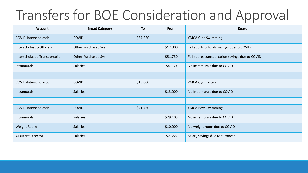| <b>Account</b>                 | <b>Broad Category</b> | To       | From     | Reason                                          |
|--------------------------------|-----------------------|----------|----------|-------------------------------------------------|
| COVID-Interscholastic          | <b>COVID</b>          | \$67,860 |          | <b>YMCA Girls Swimming</b>                      |
| Interscholastic-Officials      | Other Purchased Svs.  |          | \$12,000 | Fall sports officials savings due to COVID      |
| Interscholastic-Transportation | Other Purchased Svs.  |          | \$51,730 | Fall sports transportation savings due to COVID |
| Intramurals                    | <b>Salaries</b>       |          | \$4,130  | No intramurals due to COVID                     |
|                                |                       |          |          |                                                 |
| COVID-Interscholastic          | <b>COVID</b>          | \$13,000 |          | <b>YMCA Gymnastics</b>                          |
| Intramurals                    | <b>Salaries</b>       |          | \$13,000 | No Intramurals due to COVID                     |
|                                |                       |          |          |                                                 |
| COVID-Interscholastic          | <b>COVID</b>          | \$41,760 |          | <b>YMCA Boys Swimming</b>                       |
| Intramurals                    | <b>Salaries</b>       |          | \$29,105 | No intramurals due to COVID                     |
| Weight Room                    | <b>Salaries</b>       |          | \$10,000 | No weight room due to COVID                     |
| <b>Assistant Director</b>      | <b>Salaries</b>       |          | \$2,655  | Salary savings due to turnover                  |